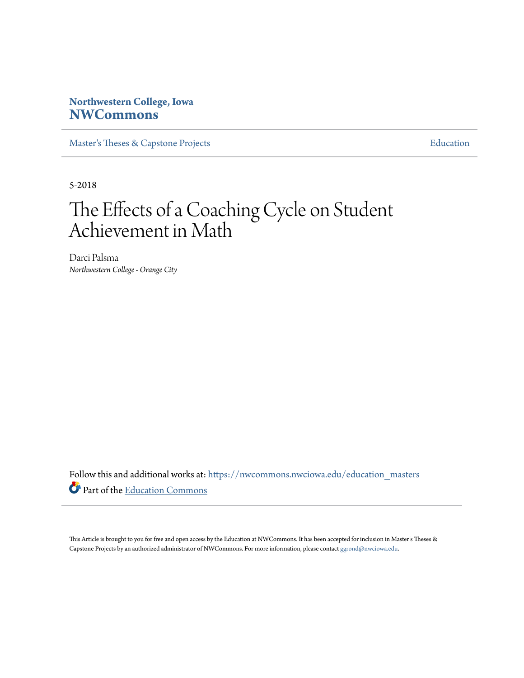# **Northwestern College, Iowa [NWCommons](https://nwcommons.nwciowa.edu?utm_source=nwcommons.nwciowa.edu%2Feducation_masters%2F81&utm_medium=PDF&utm_campaign=PDFCoverPages)**

[Master's Theses & Capstone Projects](https://nwcommons.nwciowa.edu/education_masters?utm_source=nwcommons.nwciowa.edu%2Feducation_masters%2F81&utm_medium=PDF&utm_campaign=PDFCoverPages) **[Education](https://nwcommons.nwciowa.edu/education?utm_source=nwcommons.nwciowa.edu%2Feducation_masters%2F81&utm_medium=PDF&utm_campaign=PDFCoverPages)** 

5-2018

# The Effects of a Coaching Cycle on Student Achievement in Math

Darci Palsma *Northwestern College - Orange City*

Follow this and additional works at: [https://nwcommons.nwciowa.edu/education\\_masters](https://nwcommons.nwciowa.edu/education_masters?utm_source=nwcommons.nwciowa.edu%2Feducation_masters%2F81&utm_medium=PDF&utm_campaign=PDFCoverPages) Part of the [Education Commons](http://network.bepress.com/hgg/discipline/784?utm_source=nwcommons.nwciowa.edu%2Feducation_masters%2F81&utm_medium=PDF&utm_campaign=PDFCoverPages)

This Article is brought to you for free and open access by the Education at NWCommons. It has been accepted for inclusion in Master's Theses & Capstone Projects by an authorized administrator of NWCommons. For more information, please contact [ggrond@nwciowa.edu.](mailto:ggrond@nwciowa.edu)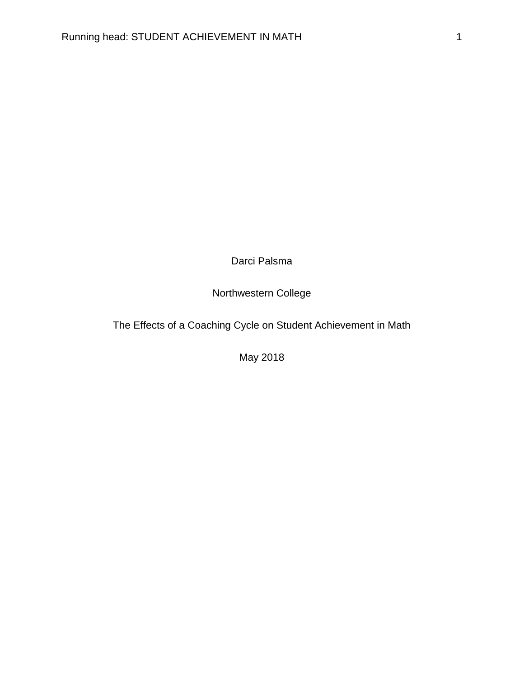Darci Palsma

Northwestern College

The Effects of a Coaching Cycle on Student Achievement in Math

May 2018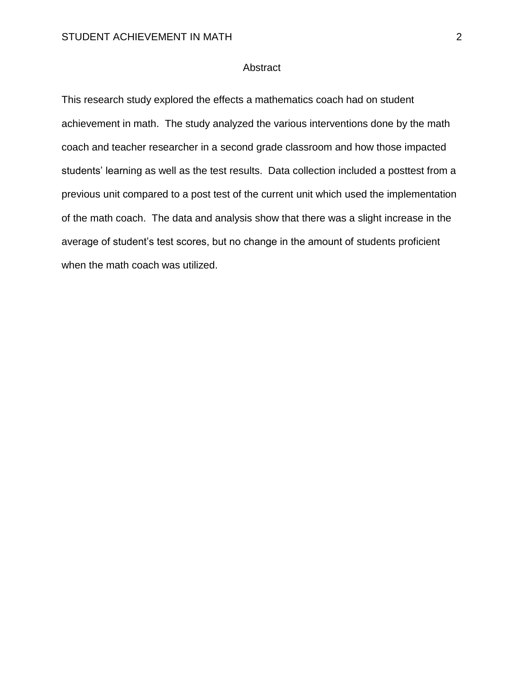# Abstract

This research study explored the effects a mathematics coach had on student achievement in math. The study analyzed the various interventions done by the math coach and teacher researcher in a second grade classroom and how those impacted students' learning as well as the test results. Data collection included a posttest from a previous unit compared to a post test of the current unit which used the implementation of the math coach. The data and analysis show that there was a slight increase in the average of student's test scores, but no change in the amount of students proficient when the math coach was utilized.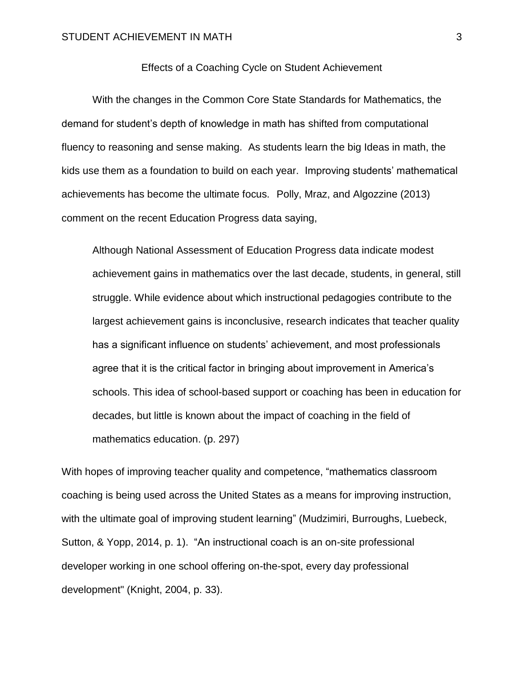# Effects of a Coaching Cycle on Student Achievement

With the changes in the Common Core State Standards for Mathematics, the demand for student's depth of knowledge in math has shifted from computational fluency to reasoning and sense making. As students learn the big Ideas in math, the kids use them as a foundation to build on each year. Improving students' mathematical achievements has become the ultimate focus. Polly, Mraz, and Algozzine (2013) comment on the recent Education Progress data saying,

Although National Assessment of Education Progress data indicate modest achievement gains in mathematics over the last decade, students, in general, still struggle. While evidence about which instructional pedagogies contribute to the largest achievement gains is inconclusive, research indicates that teacher quality has a significant influence on students' achievement, and most professionals agree that it is the critical factor in bringing about improvement in America's schools. This idea of school-based support or coaching has been in education for decades, but little is known about the impact of coaching in the field of mathematics education. (p. 297)

With hopes of improving teacher quality and competence, "mathematics classroom coaching is being used across the United States as a means for improving instruction, with the ultimate goal of improving student learning" (Mudzimiri, Burroughs, Luebeck, Sutton, & Yopp, 2014, p. 1). "An instructional coach is an on-site professional developer working in one school offering on-the-spot, every day professional development" (Knight, 2004, p. 33).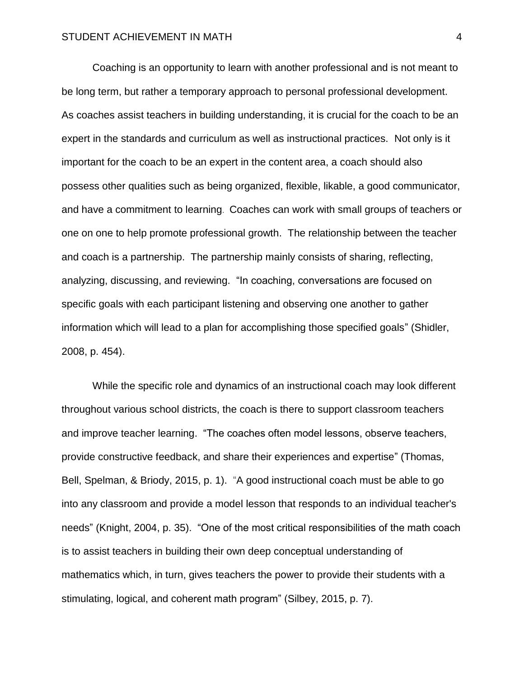Coaching is an opportunity to learn with another professional and is not meant to be long term, but rather a temporary approach to personal professional development. As coaches assist teachers in building understanding, it is crucial for the coach to be an expert in the standards and curriculum as well as instructional practices. Not only is it important for the coach to be an expert in the content area, a coach should also possess other qualities such as being organized, flexible, likable, a good communicator, and have a commitment to learning. Coaches can work with small groups of teachers or one on one to help promote professional growth. The relationship between the teacher and coach is a partnership. The partnership mainly consists of sharing, reflecting, analyzing, discussing, and reviewing. "In coaching, conversations are focused on specific goals with each participant listening and observing one another to gather information which will lead to a plan for accomplishing those specified goals" (Shidler, 2008, p. 454).

While the specific role and dynamics of an instructional coach may look different throughout various school districts, the coach is there to support classroom teachers and improve teacher learning. "The coaches often model lessons, observe teachers, provide constructive feedback, and share their experiences and expertise" (Thomas, Bell, Spelman, & Briody, 2015, p. 1). "A good instructional coach must be able to go into any classroom and provide a model lesson that responds to an individual teacher's needs" (Knight, 2004, p. 35). "One of the most critical responsibilities of the math coach is to assist teachers in building their own deep conceptual understanding of mathematics which, in turn, gives teachers the power to provide their students with a stimulating, logical, and coherent math program" (Silbey, 2015, p. 7).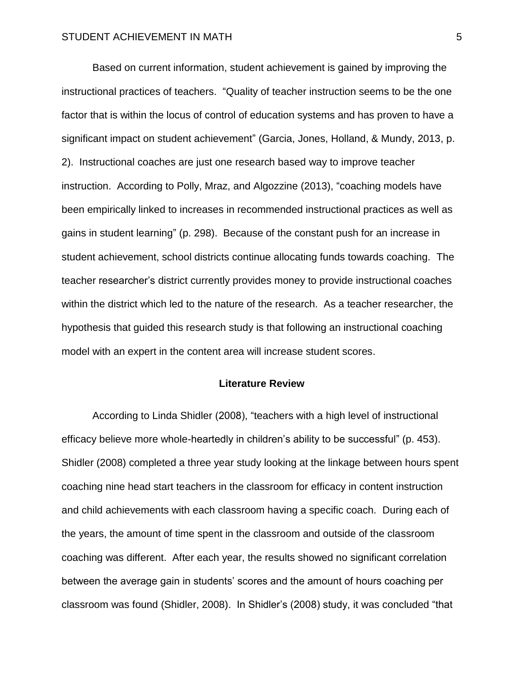Based on current information, student achievement is gained by improving the instructional practices of teachers. "Quality of teacher instruction seems to be the one factor that is within the locus of control of education systems and has proven to have a significant impact on student achievement" (Garcia, Jones, Holland, & Mundy, 2013, p. 2). Instructional coaches are just one research based way to improve teacher instruction. According to Polly, Mraz, and Algozzine (2013), "coaching models have been empirically linked to increases in recommended instructional practices as well as gains in student learning" (p. 298). Because of the constant push for an increase in student achievement, school districts continue allocating funds towards coaching. The teacher researcher's district currently provides money to provide instructional coaches within the district which led to the nature of the research. As a teacher researcher, the hypothesis that guided this research study is that following an instructional coaching model with an expert in the content area will increase student scores.

# **Literature Review**

According to Linda Shidler (2008), "teachers with a high level of instructional efficacy believe more whole-heartedly in children's ability to be successful" (p. 453). Shidler (2008) completed a three year study looking at the linkage between hours spent coaching nine head start teachers in the classroom for efficacy in content instruction and child achievements with each classroom having a specific coach. During each of the years, the amount of time spent in the classroom and outside of the classroom coaching was different. After each year, the results showed no significant correlation between the average gain in students' scores and the amount of hours coaching per classroom was found (Shidler, 2008). In Shidler's (2008) study, it was concluded "that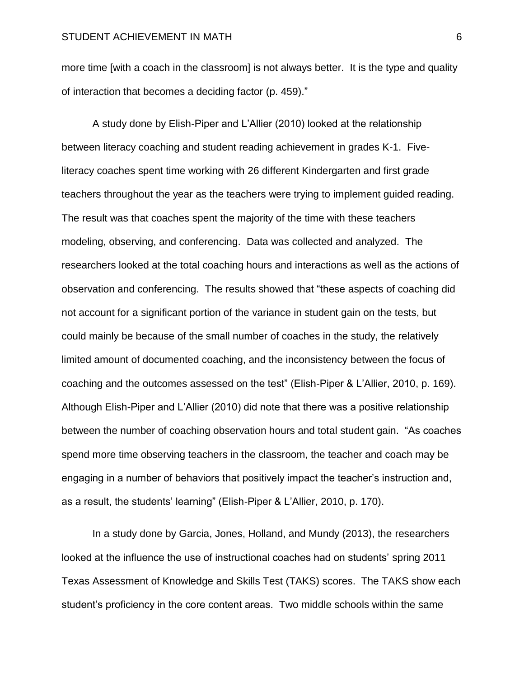more time [with a coach in the classroom] is not always better. It is the type and quality of interaction that becomes a deciding factor (p. 459)."

A study done by Elish-Piper and L'Allier (2010) looked at the relationship between literacy coaching and student reading achievement in grades K-1. Fiveliteracy coaches spent time working with 26 different Kindergarten and first grade teachers throughout the year as the teachers were trying to implement guided reading. The result was that coaches spent the majority of the time with these teachers modeling, observing, and conferencing. Data was collected and analyzed. The researchers looked at the total coaching hours and interactions as well as the actions of observation and conferencing. The results showed that "these aspects of coaching did not account for a significant portion of the variance in student gain on the tests, but could mainly be because of the small number of coaches in the study, the relatively limited amount of documented coaching, and the inconsistency between the focus of coaching and the outcomes assessed on the test" (Elish-Piper & L'Allier, 2010, p. 169). Although Elish-Piper and L'Allier (2010) did note that there was a positive relationship between the number of coaching observation hours and total student gain. "As coaches spend more time observing teachers in the classroom, the teacher and coach may be engaging in a number of behaviors that positively impact the teacher's instruction and, as a result, the students' learning" (Elish-Piper & L'Allier, 2010, p. 170).

In a study done by Garcia, Jones, Holland, and Mundy (2013), the researchers looked at the influence the use of instructional coaches had on students' spring 2011 Texas Assessment of Knowledge and Skills Test (TAKS) scores. The TAKS show each student's proficiency in the core content areas. Two middle schools within the same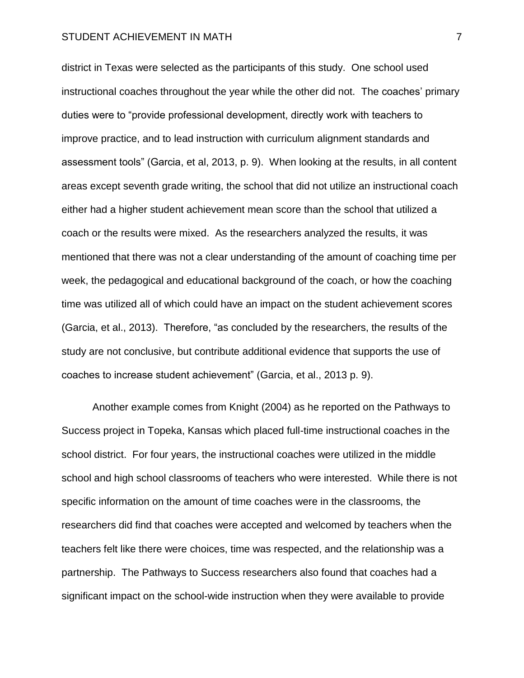district in Texas were selected as the participants of this study. One school used instructional coaches throughout the year while the other did not. The coaches' primary duties were to "provide professional development, directly work with teachers to improve practice, and to lead instruction with curriculum alignment standards and assessment tools" (Garcia, et al, 2013, p. 9). When looking at the results, in all content areas except seventh grade writing, the school that did not utilize an instructional coach either had a higher student achievement mean score than the school that utilized a coach or the results were mixed. As the researchers analyzed the results, it was mentioned that there was not a clear understanding of the amount of coaching time per week, the pedagogical and educational background of the coach, or how the coaching time was utilized all of which could have an impact on the student achievement scores (Garcia, et al., 2013). Therefore, "as concluded by the researchers, the results of the study are not conclusive, but contribute additional evidence that supports the use of coaches to increase student achievement" (Garcia, et al., 2013 p. 9).

Another example comes from Knight (2004) as he reported on the Pathways to Success project in Topeka, Kansas which placed full-time instructional coaches in the school district. For four years, the instructional coaches were utilized in the middle school and high school classrooms of teachers who were interested. While there is not specific information on the amount of time coaches were in the classrooms, the researchers did find that coaches were accepted and welcomed by teachers when the teachers felt like there were choices, time was respected, and the relationship was a partnership. The Pathways to Success researchers also found that coaches had a significant impact on the school-wide instruction when they were available to provide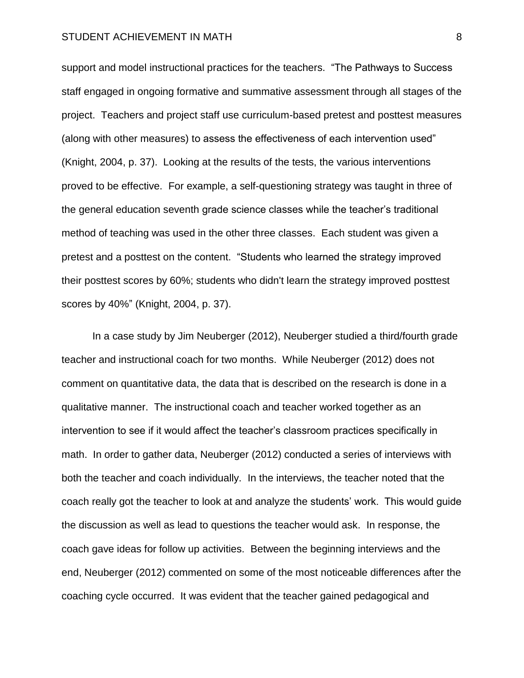support and model instructional practices for the teachers. "The Pathways to Success staff engaged in ongoing formative and summative assessment through all stages of the project. Teachers and project staff use curriculum-based pretest and posttest measures (along with other measures) to assess the effectiveness of each intervention used" (Knight, 2004, p. 37). Looking at the results of the tests, the various interventions proved to be effective. For example, a self-questioning strategy was taught in three of the general education seventh grade science classes while the teacher's traditional method of teaching was used in the other three classes. Each student was given a pretest and a posttest on the content. "Students who learned the strategy improved their posttest scores by 60%; students who didn't learn the strategy improved posttest scores by 40%" (Knight, 2004, p. 37).

In a case study by Jim Neuberger (2012), Neuberger studied a third/fourth grade teacher and instructional coach for two months. While Neuberger (2012) does not comment on quantitative data, the data that is described on the research is done in a qualitative manner. The instructional coach and teacher worked together as an intervention to see if it would affect the teacher's classroom practices specifically in math. In order to gather data, Neuberger (2012) conducted a series of interviews with both the teacher and coach individually. In the interviews, the teacher noted that the coach really got the teacher to look at and analyze the students' work. This would guide the discussion as well as lead to questions the teacher would ask. In response, the coach gave ideas for follow up activities. Between the beginning interviews and the end, Neuberger (2012) commented on some of the most noticeable differences after the coaching cycle occurred. It was evident that the teacher gained pedagogical and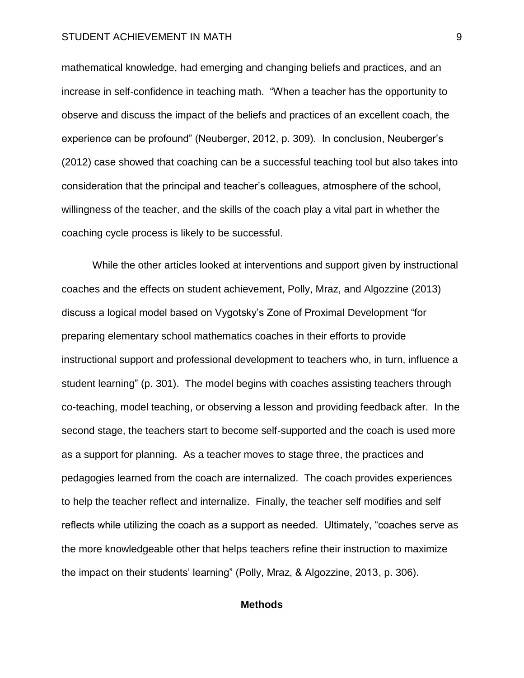mathematical knowledge, had emerging and changing beliefs and practices, and an increase in self-confidence in teaching math. "When a teacher has the opportunity to observe and discuss the impact of the beliefs and practices of an excellent coach, the experience can be profound" (Neuberger, 2012, p. 309). In conclusion, Neuberger's (2012) case showed that coaching can be a successful teaching tool but also takes into consideration that the principal and teacher's colleagues, atmosphere of the school, willingness of the teacher, and the skills of the coach play a vital part in whether the coaching cycle process is likely to be successful.

While the other articles looked at interventions and support given by instructional coaches and the effects on student achievement, Polly, Mraz, and Algozzine (2013) discuss a logical model based on Vygotsky's Zone of Proximal Development "for preparing elementary school mathematics coaches in their efforts to provide instructional support and professional development to teachers who, in turn, influence a student learning" (p. 301). The model begins with coaches assisting teachers through co-teaching, model teaching, or observing a lesson and providing feedback after. In the second stage, the teachers start to become self-supported and the coach is used more as a support for planning. As a teacher moves to stage three, the practices and pedagogies learned from the coach are internalized. The coach provides experiences to help the teacher reflect and internalize. Finally, the teacher self modifies and self reflects while utilizing the coach as a support as needed. Ultimately, "coaches serve as the more knowledgeable other that helps teachers refine their instruction to maximize the impact on their students' learning" (Polly, Mraz, & Algozzine, 2013, p. 306).

# **Methods**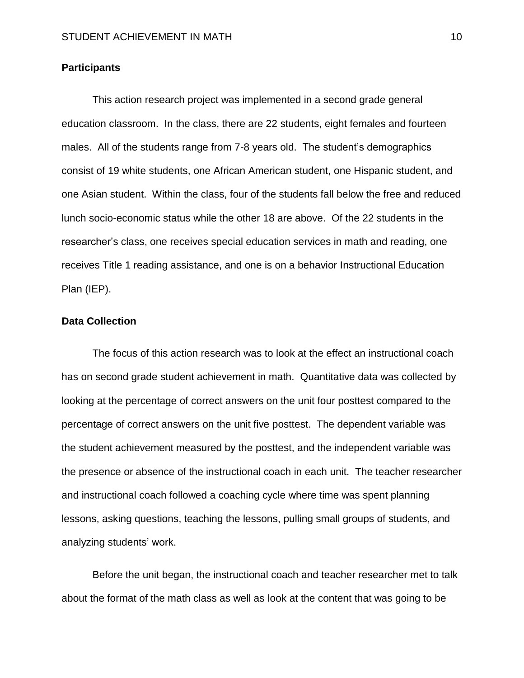# **Participants**

This action research project was implemented in a second grade general education classroom. In the class, there are 22 students, eight females and fourteen males. All of the students range from 7-8 years old. The student's demographics consist of 19 white students, one African American student, one Hispanic student, and one Asian student. Within the class, four of the students fall below the free and reduced lunch socio-economic status while the other 18 are above. Of the 22 students in the researcher's class, one receives special education services in math and reading, one receives Title 1 reading assistance, and one is on a behavior Instructional Education Plan (IEP).

# **Data Collection**

The focus of this action research was to look at the effect an instructional coach has on second grade student achievement in math. Quantitative data was collected by looking at the percentage of correct answers on the unit four posttest compared to the percentage of correct answers on the unit five posttest. The dependent variable was the student achievement measured by the posttest, and the independent variable was the presence or absence of the instructional coach in each unit. The teacher researcher and instructional coach followed a coaching cycle where time was spent planning lessons, asking questions, teaching the lessons, pulling small groups of students, and analyzing students' work.

Before the unit began, the instructional coach and teacher researcher met to talk about the format of the math class as well as look at the content that was going to be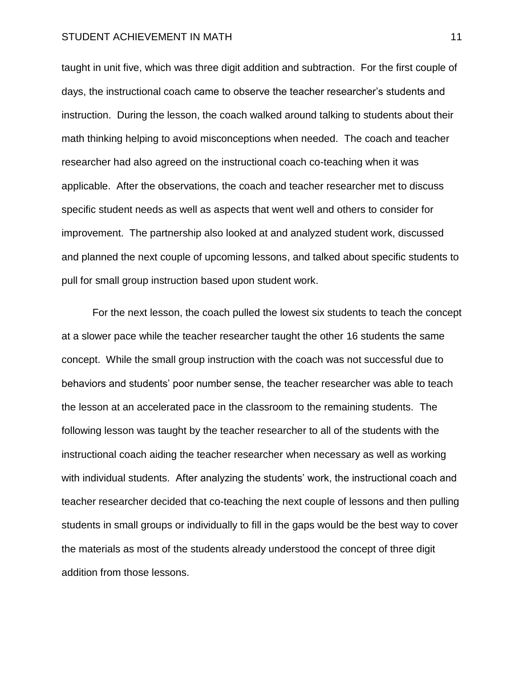#### STUDENT ACHIEVEMENT IN MATH 11 and 2001 12 and 2012 11 and 2012 11 and 2013 11 and 2014 11 and 2014 11 and 201

taught in unit five, which was three digit addition and subtraction. For the first couple of days, the instructional coach came to observe the teacher researcher's students and instruction. During the lesson, the coach walked around talking to students about their math thinking helping to avoid misconceptions when needed. The coach and teacher researcher had also agreed on the instructional coach co-teaching when it was applicable. After the observations, the coach and teacher researcher met to discuss specific student needs as well as aspects that went well and others to consider for improvement. The partnership also looked at and analyzed student work, discussed and planned the next couple of upcoming lessons, and talked about specific students to pull for small group instruction based upon student work.

For the next lesson, the coach pulled the lowest six students to teach the concept at a slower pace while the teacher researcher taught the other 16 students the same concept. While the small group instruction with the coach was not successful due to behaviors and students' poor number sense, the teacher researcher was able to teach the lesson at an accelerated pace in the classroom to the remaining students. The following lesson was taught by the teacher researcher to all of the students with the instructional coach aiding the teacher researcher when necessary as well as working with individual students. After analyzing the students' work, the instructional coach and teacher researcher decided that co-teaching the next couple of lessons and then pulling students in small groups or individually to fill in the gaps would be the best way to cover the materials as most of the students already understood the concept of three digit addition from those lessons.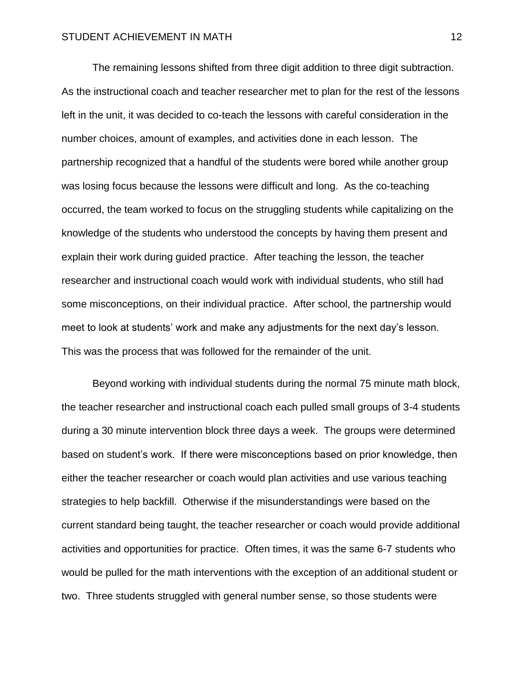The remaining lessons shifted from three digit addition to three digit subtraction. As the instructional coach and teacher researcher met to plan for the rest of the lessons left in the unit, it was decided to co-teach the lessons with careful consideration in the number choices, amount of examples, and activities done in each lesson. The partnership recognized that a handful of the students were bored while another group was losing focus because the lessons were difficult and long. As the co-teaching occurred, the team worked to focus on the struggling students while capitalizing on the knowledge of the students who understood the concepts by having them present and explain their work during guided practice. After teaching the lesson, the teacher researcher and instructional coach would work with individual students, who still had some misconceptions, on their individual practice. After school, the partnership would meet to look at students' work and make any adjustments for the next day's lesson. This was the process that was followed for the remainder of the unit.

Beyond working with individual students during the normal 75 minute math block, the teacher researcher and instructional coach each pulled small groups of 3-4 students during a 30 minute intervention block three days a week. The groups were determined based on student's work. If there were misconceptions based on prior knowledge, then either the teacher researcher or coach would plan activities and use various teaching strategies to help backfill. Otherwise if the misunderstandings were based on the current standard being taught, the teacher researcher or coach would provide additional activities and opportunities for practice. Often times, it was the same 6-7 students who would be pulled for the math interventions with the exception of an additional student or two. Three students struggled with general number sense, so those students were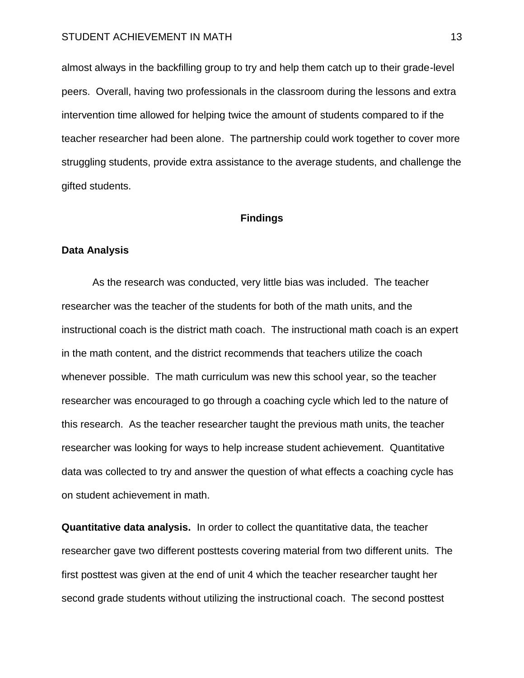#### STUDENT ACHIEVEMENT IN MATH 13 and 13

almost always in the backfilling group to try and help them catch up to their grade-level peers. Overall, having two professionals in the classroom during the lessons and extra intervention time allowed for helping twice the amount of students compared to if the teacher researcher had been alone. The partnership could work together to cover more struggling students, provide extra assistance to the average students, and challenge the gifted students.

# **Findings**

# **Data Analysis**

As the research was conducted, very little bias was included. The teacher researcher was the teacher of the students for both of the math units, and the instructional coach is the district math coach. The instructional math coach is an expert in the math content, and the district recommends that teachers utilize the coach whenever possible. The math curriculum was new this school year, so the teacher researcher was encouraged to go through a coaching cycle which led to the nature of this research. As the teacher researcher taught the previous math units, the teacher researcher was looking for ways to help increase student achievement. Quantitative data was collected to try and answer the question of what effects a coaching cycle has on student achievement in math.

**Quantitative data analysis.** In order to collect the quantitative data, the teacher researcher gave two different posttests covering material from two different units. The first posttest was given at the end of unit 4 which the teacher researcher taught her second grade students without utilizing the instructional coach. The second posttest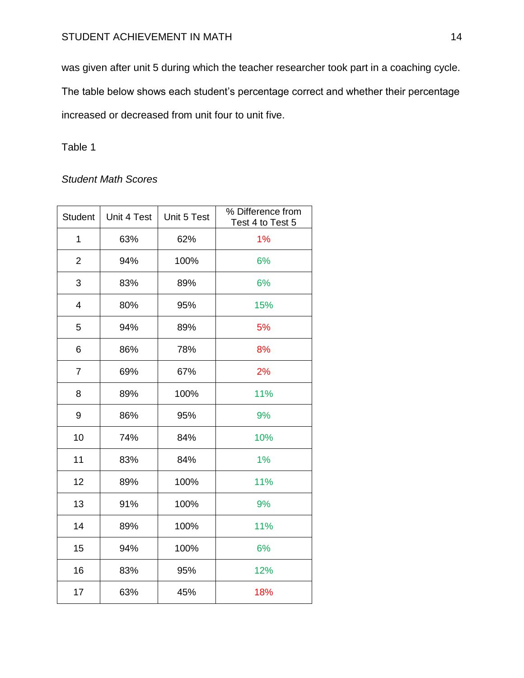was given after unit 5 during which the teacher researcher took part in a coaching cycle. The table below shows each student's percentage correct and whether their percentage increased or decreased from unit four to unit five.

Table 1

# *Student Math Scores*

| <b>Student</b> | Unit 4 Test | Unit 5 Test | % Difference from<br>Test 4 to Test 5 |
|----------------|-------------|-------------|---------------------------------------|
| $\mathbf{1}$   | 63%         | 62%         | 1%                                    |
| $\overline{2}$ | 94%         | 100%        | 6%                                    |
| 3              | 83%         | 89%         | 6%                                    |
| $\overline{4}$ | 80%         | 95%         | 15%                                   |
| 5              | 94%         | 89%         | 5%                                    |
| 6              | 86%         | 78%         | 8%                                    |
| $\overline{7}$ | 69%         | 67%         | 2%                                    |
| 8              | 89%         | 100%        | 11%                                   |
| 9              | 86%         | 95%         | 9%                                    |
| 10             | 74%         | 84%         | 10%                                   |
| 11             | 83%         | 84%         | 1%                                    |
| 12             | 89%         | 100%        | 11%                                   |
| 13             | 91%         | 100%        | 9%                                    |
| 14             | 89%         | 100%        | 11%                                   |
| 15             | 94%         | 100%        | 6%                                    |
| 16             | 83%         | 95%         | 12%                                   |
| 17             | 63%         | 45%         | 18%                                   |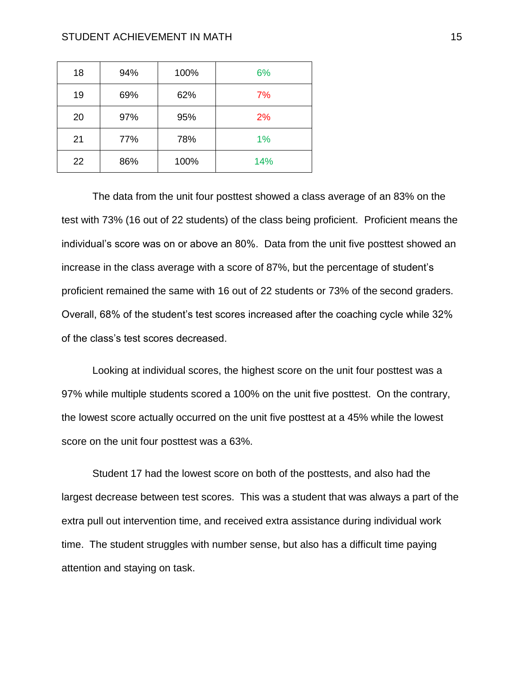| 18 | 94% | 100% | 6%  |
|----|-----|------|-----|
| 19 | 69% | 62%  | 7%  |
| 20 | 97% | 95%  | 2%  |
| 21 | 77% | 78%  | 1%  |
| 22 | 86% | 100% | 14% |

The data from the unit four posttest showed a class average of an 83% on the test with 73% (16 out of 22 students) of the class being proficient. Proficient means the individual's score was on or above an 80%. Data from the unit five posttest showed an increase in the class average with a score of 87%, but the percentage of student's proficient remained the same with 16 out of 22 students or 73% of the second graders. Overall, 68% of the student's test scores increased after the coaching cycle while 32% of the class's test scores decreased.

Looking at individual scores, the highest score on the unit four posttest was a 97% while multiple students scored a 100% on the unit five posttest. On the contrary, the lowest score actually occurred on the unit five posttest at a 45% while the lowest score on the unit four posttest was a 63%.

Student 17 had the lowest score on both of the posttests, and also had the largest decrease between test scores. This was a student that was always a part of the extra pull out intervention time, and received extra assistance during individual work time. The student struggles with number sense, but also has a difficult time paying attention and staying on task.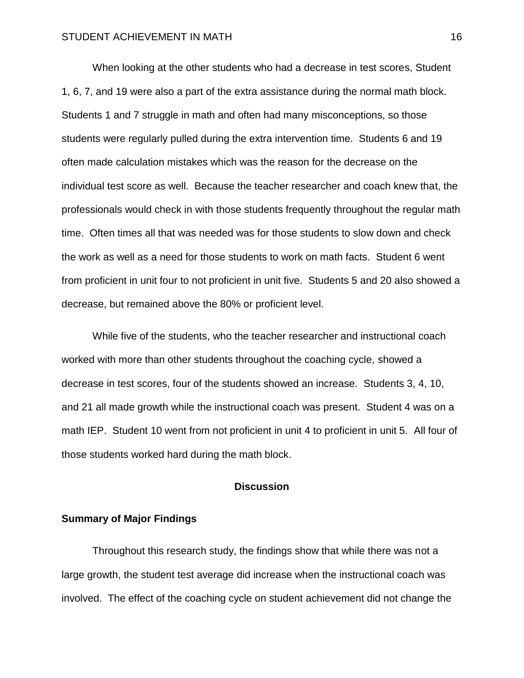When looking at the other students who had a decrease in test scores, Student 1, 6, 7, and 19 were also a part of the extra assistance during the normal math block. Students 1 and 7 struggle in math and often had many misconceptions, so those students were regularly pulled during the extra intervention time. Students 6 and 19 often made calculation mistakes which was the reason for the decrease on the individual test score as well. Because the teacher researcher and coach knew that, the professionals would check in with those students frequently throughout the regular math time. Often times all that was needed was for those students to slow down and check the work as well as a need for those students to work on math facts. Student 6 went from proficient in unit four to not proficient in unit five. Students 5 and 20 also showed a decrease, but remained above the 80% or proficient level.

While five of the students, who the teacher researcher and instructional coach worked with more than other students throughout the coaching cycle, showed a decrease in test scores, four of the students showed an increase. Students 3, 4, 10, and 21 all made growth while the instructional coach was present. Student 4 was on a math IEP. Student 10 went from not proficient in unit 4 to proficient in unit 5. All four of those students worked hard during the math block.

# **Discussion**

# **Summary of Major Findings**

Throughout this research study, the findings show that while there was not a large growth, the student test average did increase when the instructional coach was involved. The effect of the coaching cycle on student achievement did not change the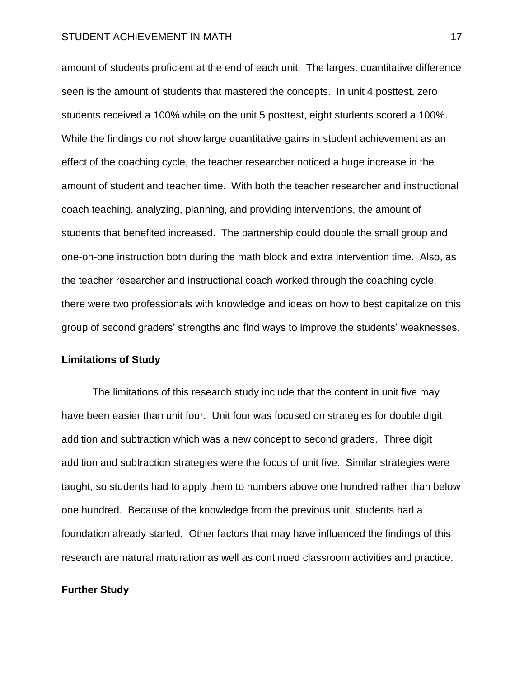amount of students proficient at the end of each unit. The largest quantitative difference seen is the amount of students that mastered the concepts. In unit 4 posttest, zero students received a 100% while on the unit 5 posttest, eight students scored a 100%. While the findings do not show large quantitative gains in student achievement as an effect of the coaching cycle, the teacher researcher noticed a huge increase in the amount of student and teacher time. With both the teacher researcher and instructional coach teaching, analyzing, planning, and providing interventions, the amount of students that benefited increased. The partnership could double the small group and one-on-one instruction both during the math block and extra intervention time. Also, as the teacher researcher and instructional coach worked through the coaching cycle, there were two professionals with knowledge and ideas on how to best capitalize on this group of second graders' strengths and find ways to improve the students' weaknesses.

## **Limitations of Study**

The limitations of this research study include that the content in unit five may have been easier than unit four. Unit four was focused on strategies for double digit addition and subtraction which was a new concept to second graders. Three digit addition and subtraction strategies were the focus of unit five. Similar strategies were taught, so students had to apply them to numbers above one hundred rather than below one hundred. Because of the knowledge from the previous unit, students had a foundation already started. Other factors that may have influenced the findings of this research are natural maturation as well as continued classroom activities and practice.

# **Further Study**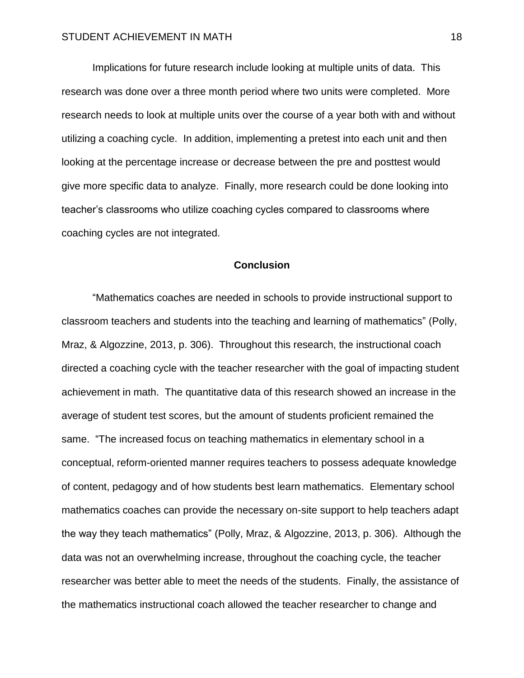Implications for future research include looking at multiple units of data. This research was done over a three month period where two units were completed. More research needs to look at multiple units over the course of a year both with and without utilizing a coaching cycle. In addition, implementing a pretest into each unit and then looking at the percentage increase or decrease between the pre and posttest would give more specific data to analyze. Finally, more research could be done looking into teacher's classrooms who utilize coaching cycles compared to classrooms where coaching cycles are not integrated.

# **Conclusion**

"Mathematics coaches are needed in schools to provide instructional support to classroom teachers and students into the teaching and learning of mathematics" (Polly, Mraz, & Algozzine, 2013, p. 306). Throughout this research, the instructional coach directed a coaching cycle with the teacher researcher with the goal of impacting student achievement in math. The quantitative data of this research showed an increase in the average of student test scores, but the amount of students proficient remained the same. "The increased focus on teaching mathematics in elementary school in a conceptual, reform-oriented manner requires teachers to possess adequate knowledge of content, pedagogy and of how students best learn mathematics. Elementary school mathematics coaches can provide the necessary on-site support to help teachers adapt the way they teach mathematics" (Polly, Mraz, & Algozzine, 2013, p. 306). Although the data was not an overwhelming increase, throughout the coaching cycle, the teacher researcher was better able to meet the needs of the students. Finally, the assistance of the mathematics instructional coach allowed the teacher researcher to change and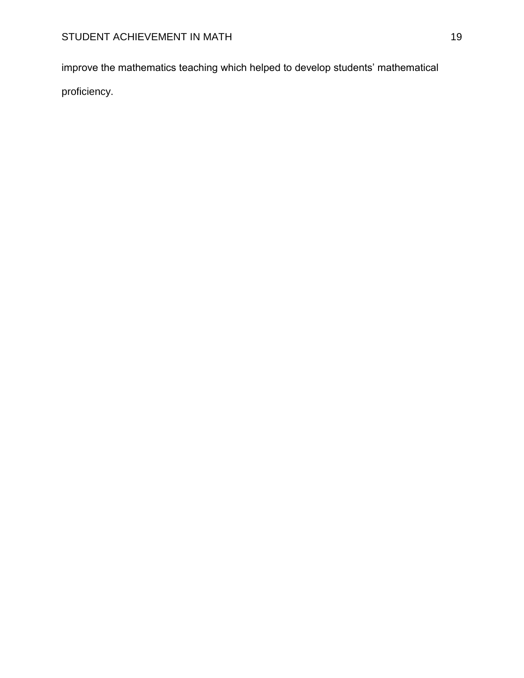improve the mathematics teaching which helped to develop students' mathematical proficiency.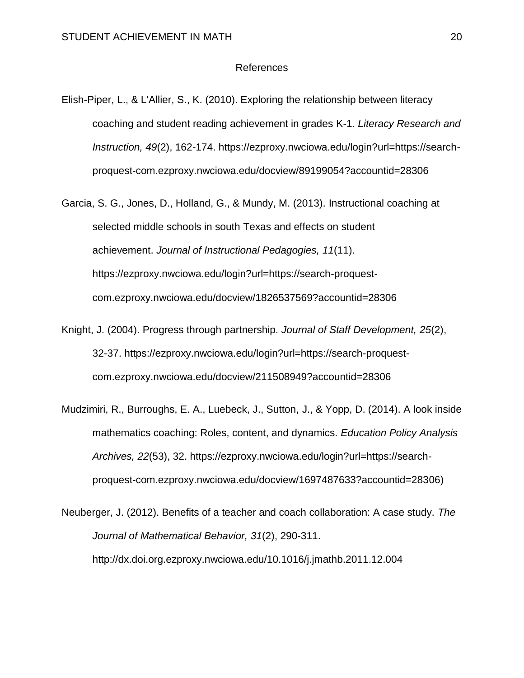# References

- Elish-Piper, L., & L'Allier, S., K. (2010). Exploring the relationship between literacy coaching and student reading achievement in grades K-1. *Literacy Research and Instruction, 49*(2), 162-174. https://ezproxy.nwciowa.edu/login?url=https://searchproquest-com.ezproxy.nwciowa.edu/docview/89199054?accountid=28306
- Garcia, S. G., Jones, D., Holland, G., & Mundy, M. (2013). Instructional coaching at selected middle schools in south Texas and effects on student achievement. *Journal of Instructional Pedagogies, 11*(11). https://ezproxy.nwciowa.edu/login?url=https://search-proquestcom.ezproxy.nwciowa.edu/docview/1826537569?accountid=28306
- Knight, J. (2004). Progress through partnership. *Journal of Staff Development, 25*(2), 32-37. https://ezproxy.nwciowa.edu/login?url=https://search-proquestcom.ezproxy.nwciowa.edu/docview/211508949?accountid=28306
- Mudzimiri, R., Burroughs, E. A., Luebeck, J., Sutton, J., & Yopp, D. (2014). A look inside mathematics coaching: Roles, content, and dynamics. *Education Policy Analysis Archives, 22*(53), 32. https://ezproxy.nwciowa.edu/login?url=https://searchproquest-com.ezproxy.nwciowa.edu/docview/1697487633?accountid=28306)

Neuberger, J. (2012). Benefits of a teacher and coach collaboration: A case study. *The Journal of Mathematical Behavior, 31*(2), 290-311. http://dx.doi.org.ezproxy.nwciowa.edu/10.1016/j.jmathb.2011.12.004